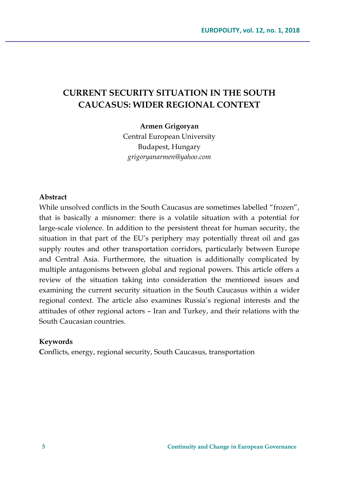# **CURRENT SECURITY SITUATION IN THE SOUTH CAUCASUS: WIDER REGIONAL CONTEXT**

#### **Armen Grigoryan**

Central European University Budapest, Hungary *grigoryanarmen@yahoo.com*

### **Abstract**

While unsolved conflicts in the South Caucasus are sometimes labelled "frozen", that is basically a misnomer: there is a volatile situation with a potential for large-scale violence. In addition to the persistent threat for human security, the situation in that part of the EU's periphery may potentially threat oil and gas supply routes and other transportation corridors, particularly between Europe and Central Asia. Furthermore, the situation is additionally complicated by multiple antagonisms between global and regional powers. This article offers a review of the situation taking into consideration the mentioned issues and examining the current security situation in the South Caucasus within a wider regional context. The article also examines Russia's regional interests and the attitudes of other regional actors – Iran and Turkey, and their relations with the South Caucasian countries.

### **Keywords**

**C**onflicts, energy, regional security, South Caucasus, transportation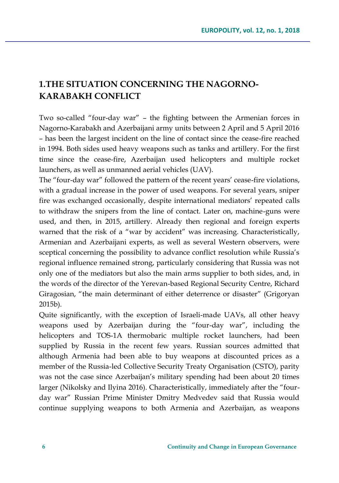# **1.THE SITUATION CONCERNING THE NAGORNO-KARABAKH CONFLICT**

Two so-called "four-day war" – the fighting between the Armenian forces in Nagorno-Karabakh and Azerbaijani army units between 2 April and 5 April 2016 – has been the largest incident on the line of contact since the cease-fire reached in 1994. Both sides used heavy weapons such as tanks and artillery. For the first time since the cease-fire, Azerbaijan used helicopters and multiple rocket launchers, as well as unmanned aerial vehicles (UAV).

The "four-day war" followed the pattern of the recent years' cease-fire violations, with a gradual increase in the power of used weapons. For several years, sniper fire was exchanged occasionally, despite international mediators' repeated calls to withdraw the snipers from the line of contact. Later on, machine-guns were used, and then, in 2015, artillery. Already then regional and foreign experts warned that the risk of a "war by accident" was increasing. Characteristically, Armenian and Azerbaijani experts, as well as several Western observers, were sceptical concerning the possibility to advance conflict resolution while Russia's regional influence remained strong, particularly considering that Russia was not only one of the mediators but also the main arms supplier to both sides, and, in the words of the director of the Yerevan-based Regional Security Centre, Richard Giragosian, "the main determinant of either deterrence or disaster" (Grigoryan 2015b).

Quite significantly, with the exception of Israeli-made UAVs, all other heavy weapons used by Azerbaijan during the "four-day war", including the helicopters and TOS-1A thermobaric multiple rocket launchers, had been supplied by Russia in the recent few years. Russian sources admitted that although Armenia had been able to buy weapons at discounted prices as a member of the Russia-led Collective Security Treaty Organisation (CSTO), parity was not the case since Azerbaijan's military spending had been about 20 times larger (Nikolsky and Ilyina 2016). Characteristically, immediately after the "fourday war" Russian Prime Minister Dmitry Medvedev said that Russia would continue supplying weapons to both Armenia and Azerbaijan, as weapons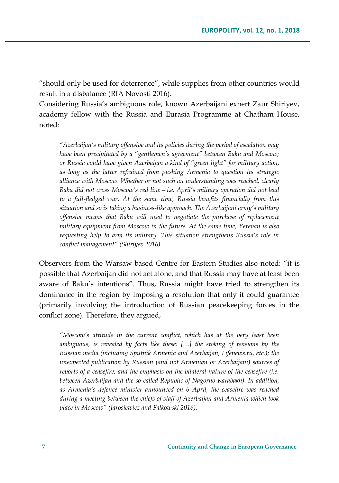"should only be used for deterrence", while supplies from other countries would result in a disbalance [\(RIA Novosti](http://ria.ru/world/20160409/1406122604.html) 2016).

Considering Russia's ambiguous role, known Azerbaijani expert Zaur Shiriyev, academy fellow with the Russia and Eurasia Programme at Chatham House, noted:

*"Azerbaijan's military offensive and its policies during the period of escalation may have been precipitated by a "gentlemen's agreement" between Baku and Moscow; or Russia could have given Azerbaijan a kind of "green light" for military action, as long as the latter refrained from pushing Armenia to question its strategic alliance with Moscow. Whether or not such an understanding was reached, clearly Baku did not cross Moscow's red line—i.e. April's military operation did not lead to a full-fledged war. At the same time, Russia benefits financially from this situation and so is taking a business-like approach. The Azerbaijani army's military offensive means that Baku will need to negotiate the purchase of replacement military equipment from Moscow in the future. At the same time, Yerevan is also requesting help to arm its military. This situation strengthens Russia's role in conflict management" (Shiriyev 2016).*

Observers from the Warsaw-based Centre for Eastern Studies also noted: "it is possible that Azerbaijan did not act alone, and that Russia may have at least been aware of Baku's intentions". Thus, Russia might have tried to strengthen its dominance in the region by imposing a resolution that only it could guarantee (primarily involving the introduction of Russian peacekeeping forces in the conflict zone). Therefore, they argued,

*"Moscow's attitude in the current conflict, which has at the very least been ambiguous, is revealed by facts like these: […] the stoking of tensions by the Russian media (including Sputnik Armenia and Azerbaijan, Lifenews.ru, etc.); the unexpected publication by Russian (and not Armenian or Azerbaijani) sources of reports of a ceasefire; and the emphasis on the bilateral nature of the ceasefire (i.e. between Azerbaijan and the so-called Republic of Nagorno-Karabakh). In addition, as Armenia's defence minister announced on 6 April, the ceasefire was reached during a meeting between the chiefs of staff of Azerbaijan and Armenia which took place in Moscow" (Jarosiewicz and Falkowski 2016).*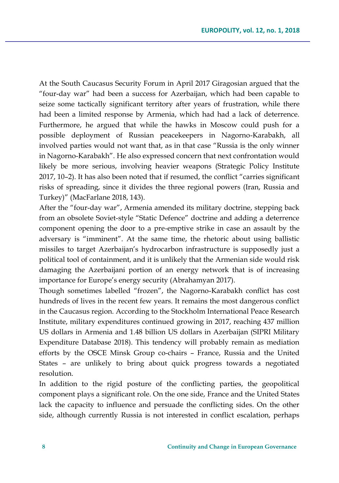At the South Caucasus Security Forum in April 2017 Giragosian argued that the "four-day war" had been a success for Azerbaijan, which had been capable to seize some tactically significant territory after years of frustration, while there had been a limited response by Armenia, which had had a lack of deterrence. Furthermore, he argued that while the hawks in Moscow could push for a possible deployment of Russian peacekeepers in Nagorno-Karabakh, all involved parties would not want that, as in that case "Russia is the only winner in Nagorno-Karabakh". He also expressed concern that next confrontation would likely be more serious, involving heavier weapons (Strategic Policy Institute 2017, 10–2). It has also been noted that if resumed, the conflict "carries significant risks of spreading, since it divides the three regional powers (Iran, Russia and Turkey)" (MacFarlane 2018, 143).

After the "four-day war", Armenia amended its military doctrine, stepping back from an obsolete Soviet-style "Static Defence" doctrine and adding a deterrence component opening the door to a pre-emptive strike in case an assault by the adversary is "imminent". At the same time, the rhetoric about using ballistic missiles to target Azerbaijan's hydrocarbon infrastructure is supposedly just a political tool of containment, and it is unlikely that the Armenian side would risk damaging the Azerbaijani portion of an energy network that is of increasing importance for Europe's energy security (Abrahamyan 2017).

Though sometimes labelled "frozen", the Nagorno-Karabakh conflict has cost hundreds of lives in the recent few years. It remains the most dangerous conflict in the Caucasus region. According to the Stockholm International Peace Research Institute, military expenditures continued growing in 2017, reaching 437 million US dollars in Armenia and 1.48 billion US dollars in Azerbaijan (SIPRI Military Expenditure Database 2018). This tendency will probably remain as mediation efforts by the OSCE Minsk Group co-chairs – France, Russia and the United States – are unlikely to bring about quick progress towards a negotiated resolution.

In addition to the rigid posture of the conflicting parties, the geopolitical component plays a significant role. On the one side, France and the United States lack the capacity to influence and persuade the conflicting sides. On the other side, although currently Russia is not interested in conflict escalation, perhaps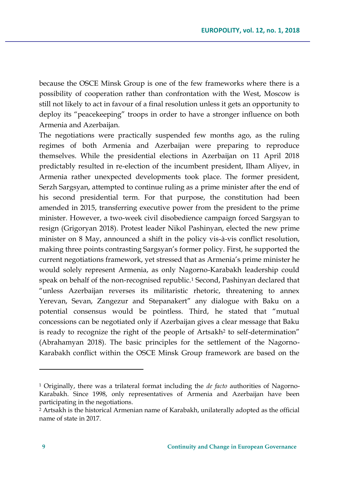because the OSCE Minsk Group is one of the few frameworks where there is a possibility of cooperation rather than confrontation with the West, Moscow is still not likely to act in favour of a final resolution unless it gets an opportunity to deploy its "peacekeeping" troops in order to have a stronger influence on both Armenia and Azerbaijan.

The negotiations were practically suspended few months ago, as the ruling regimes of both Armenia and Azerbaijan were preparing to reproduce themselves. While the presidential elections in Azerbaijan on 11 April 2018 predictably resulted in re-election of the incumbent president, Ilham Aliyev, in Armenia rather unexpected developments took place. The former president, Serzh Sargsyan, attempted to continue ruling as a prime minister after the end of his second presidential term. For that purpose, the constitution had been amended in 2015, transferring executive power from the president to the prime minister. However, a two-week civil disobedience campaign forced Sargsyan to resign (Grigoryan 2018). Protest leader Nikol Pashinyan, elected the new prime minister on 8 May, announced a shift in the policy vis-à-vis conflict resolution, making three points contrasting Sargsyan's former policy. First, he supported the current negotiations framework, yet stressed that as Armenia's prime minister he would solely represent Armenia, as only Nagorno-Karabakh leadership could speak on behalf of the non-recognised republic.<sup>1</sup> Second, Pashinyan declared that "unless Azerbaijan reverses its militaristic rhetoric, threatening to annex Yerevan, Sevan, Zangezur and Stepanakert" any dialogue with Baku on a potential consensus would be pointless. Third, he stated that "mutual concessions can be negotiated only if Azerbaijan gives a clear message that Baku is ready to recognize the right of the people of Artsakh<sup>2</sup> to self-determination" (Abrahamyan 2018). The basic principles for the settlement of the Nagorno-Karabakh conflict within the OSCE Minsk Group framework are based on the

 $\overline{\phantom{a}}$ 

<sup>1</sup> Originally, there was a trilateral format including the *de facto* authorities of Nagorno-Karabakh. Since 1998, only representatives of Armenia and Azerbaijan have been participating in the negotiations.

<sup>2</sup> Artsakh is the historical Armenian name of Karabakh, unilaterally adopted as the official name of state in 2017.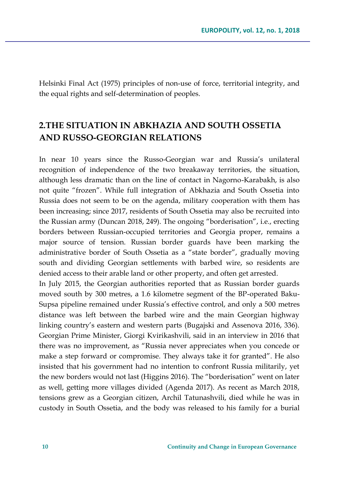Helsinki Final Act (1975) principles of non-use of force, territorial integrity, and the equal rights and self-determination of peoples.

# **2.THE SITUATION IN ABKHAZIA AND SOUTH OSSETIA AND RUSSO-GEORGIAN RELATIONS**

In near 10 years since the Russo-Georgian war and Russia's unilateral recognition of independence of the two breakaway territories, the situation, although less dramatic than on the line of contact in Nagorno-Karabakh, is also not quite "frozen". While full integration of Abkhazia and South Ossetia into Russia does not seem to be on the agenda, military cooperation with them has been increasing; since 2017, residents of South Ossetia may also be recruited into the Russian army (Duncan 2018, 249). The ongoing "borderisation", i.e., erecting borders between Russian-occupied territories and Georgia proper, remains a major source of tension. Russian border guards have been marking the administrative border of South Ossetia as a "state border", gradually moving south and dividing Georgian settlements with barbed wire, so residents are denied access to their arable land or other property, and often get arrested.

In July 2015, the Georgian authorities reported that as Russian border guards moved south by 300 metres, a 1.6 kilometre segment of the BP-operated Baku-Supsa pipeline remained under Russia's effective control, and only a 500 metres distance was left between the barbed wire and the main Georgian highway linking country's eastern and western parts (Bugajski and Assenova 2016, 336). Georgian Prime Minister, Giorgi Kvirikashvili, said in an interview in 2016 that there was no improvement, as "Russia never appreciates when you concede or make a step forward or compromise. They always take it for granted". He also insisted that his government had no intention to confront Russia militarily, yet the new borders would not last (Higgins 2016). The "borderisation" went on later as well, getting more villages divided (Agenda 2017). As recent as March 2018, tensions grew as a Georgian citizen, Archil Tatunashvili, died while he was in custody in South Ossetia, and the body was released to his family for a burial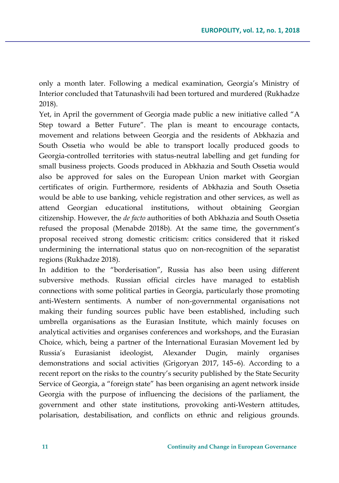only a month later. Following a medical examination, Georgia's Ministry of Interior concluded that Tatunashvili had been tortured and murdered (Rukhadze 2018).

Yet, in April the government of Georgia made public a new initiative called "A Step toward a Better Future". The plan is meant to encourage contacts, movement and relations between Georgia and the residents of Abkhazia and South Ossetia who would be able to transport locally produced goods to Georgia-controlled territories with status-neutral labelling and get funding for small business projects. Goods produced in Abkhazia and South Ossetia would also be approved for sales on the European Union market with Georgian certificates of origin. Furthermore, residents of Abkhazia and South Ossetia would be able to use banking, vehicle registration and other services, as well as attend Georgian educational institutions, without obtaining Georgian citizenship. However, the *de facto* authorities of both Abkhazia and South Ossetia refused the proposal (Menabde 2018b). At the same time, the government's proposal received strong domestic criticism: critics considered that it risked undermining the international status quo on non-recognition of the separatist regions (Rukhadze 2018).

In addition to the "borderisation", Russia has also been using different subversive methods. Russian official circles have managed to establish connections with some political parties in Georgia, particularly those promoting anti-Western sentiments. A number of non-governmental organisations not making their funding sources public have been established, including such umbrella organisations as the Eurasian Institute, which mainly focuses on analytical activities and organises conferences and workshops, and the Eurasian Choice, which, being a partner of the International Eurasian Movement led by Russia's Eurasianist ideologist, Alexander Dugin, mainly organises demonstrations and social activities (Grigoryan 2017, 145–6). According to a recent report on the risks to the country's security published by the State Security Service of Georgia, a "foreign state" has been organising an agent network inside Georgia with the purpose of influencing the decisions of the parliament, the government and other state institutions, provoking anti-Western attitudes, polarisation, destabilisation, and conflicts on ethnic and religious grounds.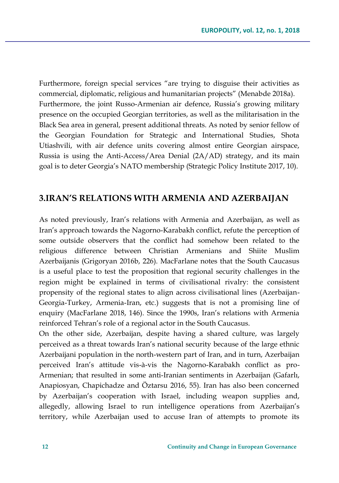Furthermore, foreign special services "are trying to disguise their activities as commercial, diplomatic, religious and humanitarian projects" (Menabde 2018a). Furthermore, the joint Russo-Armenian air defence, Russia's growing military presence on the occupied Georgian territories, as well as the militarisation in the Black Sea area in general, present additional threats. As noted by senior fellow of the Georgian Foundation for Strategic and International Studies, Shota Utiashvili, with air defence units covering almost entire Georgian airspace, Russia is using the Anti-Access/Area Denial (2A/AD) strategy, and its main goal is to deter Georgia's NATO membership (Strategic Policy Institute 2017, 10).

## **3.IRAN'S RELATIONS WITH ARMENIA AND AZERBAIJAN**

As noted previously, Iran's relations with Armenia and Azerbaijan, as well as Iran's approach towards the Nagorno-Karabakh conflict, refute the perception of some outside observers that the conflict had somehow been related to the religious difference between Christian Armenians and Shiite Muslim Azerbaijanis (Grigoryan 2016b, 226). MacFarlane notes that the South Caucasus is a useful place to test the proposition that regional security challenges in the region might be explained in terms of civilisational rivalry: the consistent propensity of the regional states to align across civilisational lines (Azerbaijan-Georgia-Turkey, Armenia-Iran, etc.) suggests that is not a promising line of enquiry (MacFarlane 2018, 146). Since the 1990s, Iran's relations with Armenia reinforced Tehran's role of a regional actor in the South Caucasus.

On the other side, Azerbaijan, despite having a shared culture, was largely perceived as a threat towards Iran's national security because of the large ethnic Azerbaijani population in the north-western part of Iran, and in turn, Azerbaijan perceived Iran's attitude vis-à-vis the Nagorno-Karabakh conflict as pro-Armenian; that resulted in some anti-Iranian sentiments in Azerbaijan (Gafarlı, Anapiosyan, Chapichadze and Öztarsu 2016, 55). Iran has also been concerned by Azerbaijan's cooperation with Israel, including weapon supplies and, allegedly, allowing Israel to run intelligence operations from Azerbaijan's territory, while Azerbaijan used to accuse Iran of attempts to promote its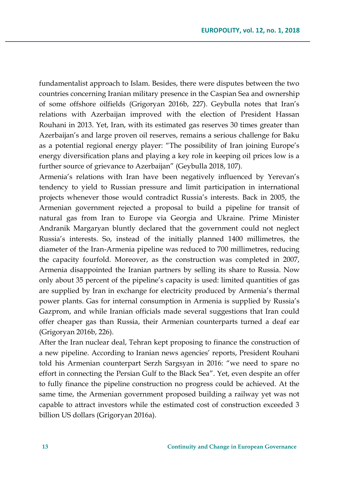fundamentalist approach to Islam. Besides, there were disputes between the two countries concerning Iranian military presence in the Caspian Sea and ownership of some offshore oilfields (Grigoryan 2016b, 227). Geybulla notes that Iran's relations with Azerbaijan improved with the election of President Hassan Rouhani in 2013. Yet, Iran, with its estimated gas reserves 30 times greater than Azerbaijan's and large proven oil reserves, remains a serious challenge for Baku as a potential regional energy player: "The possibility of Iran joining Europe's energy diversification plans and playing a key role in keeping oil prices low is a further source of grievance to Azerbaijan" (Geybulla 2018, 107).

Armenia's relations with Iran have been negatively influenced by Yerevan's tendency to yield to Russian pressure and limit participation in international projects whenever those would contradict Russia's interests. Back in 2005, the Armenian government rejected a proposal to build a pipeline for transit of natural gas from Iran to Europe via Georgia and Ukraine. Prime Minister Andranik Margaryan bluntly declared that the government could not neglect Russia's interests. So, instead of the initially planned 1400 millimetres, the diameter of the Iran-Armenia pipeline was reduced to 700 millimetres, reducing the capacity fourfold. Moreover, as the construction was completed in 2007, Armenia disappointed the Iranian partners by selling its share to Russia. Now only about 35 percent of the pipeline's capacity is used: limited quantities of gas are supplied by Iran in exchange for electricity produced by Armenia's thermal power plants. Gas for internal consumption in Armenia is supplied by Russia's Gazprom, and while Iranian officials made several suggestions that Iran could offer cheaper gas than Russia, their Armenian counterparts turned a deaf ear (Grigoryan 2016b, 226).

After the Iran nuclear deal, Tehran kept proposing to finance the construction of a new pipeline. According to Iranian news agencies' reports, President Rouhani told his Armenian counterpart Serzh Sargsyan in 2016: "we need to spare no effort in connecting the Persian Gulf to the Black Sea". Yet, even despite an offer to fully finance the pipeline construction no progress could be achieved. At the same time, the Armenian government proposed building a railway yet was not capable to attract investors while the estimated cost of construction exceeded 3 billion US dollars (Grigoryan 2016a).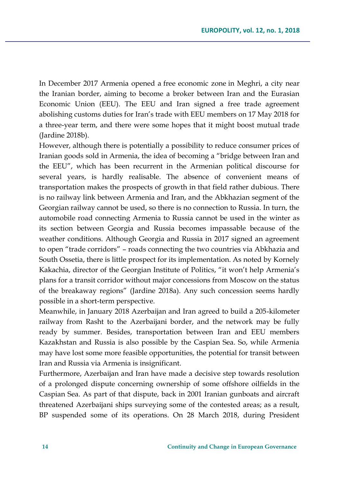In December 2017 Armenia opened a free economic zone in Meghri, a city near the Iranian border, aiming to become a broker between Iran and the Eurasian Economic Union (EEU). The EEU and Iran signed a free trade agreement abolishing customs duties for Iran's trade with EEU members on 17 May 2018 for a three-year term, and there were some hopes that it might boost mutual trade (Jardine 2018b).

However, although there is potentially a possibility to reduce consumer prices of Iranian goods sold in Armenia, the idea of becoming a "bridge between Iran and the EEU", which has been recurrent in the Armenian political discourse for several years, is hardly realisable. The absence of convenient means of transportation makes the prospects of growth in that field rather dubious. There is no railway link between Armenia and Iran, and the Abkhazian segment of the Georgian railway cannot be used, so there is no connection to Russia. In turn, the automobile road connecting Armenia to Russia cannot be used in the winter as its section between Georgia and Russia becomes impassable because of the weather conditions. Although Georgia and Russia in 2017 signed an agreement to open "trade corridors" – roads connecting the two countries via Abkhazia and South Ossetia, there is little prospect for its implementation. As noted by Kornely Kakachia, director of the Georgian Institute of Politics, "it won't help Armenia's plans for a transit corridor without major concessions from Moscow on the status of the breakaway regions" (Jardine 2018a). Any such concession seems hardly possible in a short-term perspective.

Meanwhile, in January 2018 Azerbaijan and Iran agreed to build a 205-kilometer railway from Rasht to the Azerbaijani border, and the network may be fully ready by summer. Besides, transportation between Iran and EEU members Kazakhstan and Russia is also possible by the Caspian Sea. So, while Armenia may have lost some more feasible opportunities, the potential for transit between Iran and Russia via Armenia is insignificant.

Furthermore, Azerbaijan and Iran have made a decisive step towards resolution of a prolonged dispute concerning ownership of some offshore oilfields in the Caspian Sea. As part of that dispute, back in 2001 Iranian gunboats and aircraft threatened Azerbaijani ships surveying some of the contested areas; as a result, BP suspended some of its operations. On 28 March 2018, during President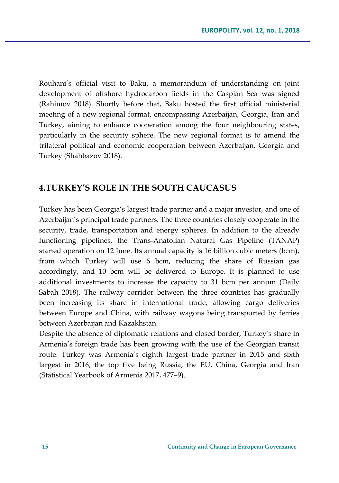Rouhani's official visit to Baku, a memorandum of understanding on joint development of offshore hydrocarbon fields in the Caspian Sea was signed (Rahimov 2018). Shortly before that, Baku hosted the first official ministerial meeting of a new regional format, encompassing Azerbaijan, Georgia, Iran and Turkey, aiming to enhance cooperation among the four neighbouring states, particularly in the security sphere. The new regional format is to amend the trilateral political and economic cooperation between Azerbaijan, Georgia and Turkey (Shahbazov 2018).

## **4.TURKEY'S ROLE IN THE SOUTH CAUCASUS**

Turkey has been Georgia's largest trade partner and a major investor, and one of Azerbaijan's principal trade partners. The three countries closely cooperate in the security, trade, transportation and energy spheres. In addition to the already functioning pipelines, the Trans-Anatolian Natural Gas Pipeline (TANAP) started operation on 12 June. Its annual capacity is 16 billion cubic meters (bcm), from which Turkey will use 6 bcm, reducing the share of Russian gas accordingly, and 10 bcm will be delivered to Europe. It is planned to use additional investments to increase the capacity to 31 bcm per annum (Daily Sabah 2018). The railway corridor between the three countries has gradually been increasing its share in international trade, allowing cargo deliveries between Europe and China, with railway wagons being transported by ferries between Azerbaijan and Kazakhstan.

Despite the absence of diplomatic relations and closed border, Turkey's share in Armenia's foreign trade has been growing with the use of the Georgian transit route. Turkey was Armenia's eighth largest trade partner in 2015 and sixth largest in 2016, the top five being Russia, the EU, China, Georgia and Iran (Statistical Yearbook of Armenia 2017, 477–9).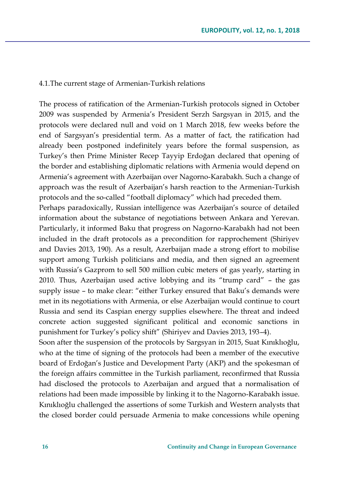#### 4.1.The current stage of Armenian-Turkish relations

The process of ratification of the Armenian-Turkish protocols signed in October 2009 was suspended by Armenia's President Serzh Sargsyan in 2015, and the protocols were declared null and void on 1 March 2018, few weeks before the end of Sargsyan's presidential term. As a matter of fact, the ratification had already been postponed indefinitely years before the formal suspension, as Turkey's then Prime Minister Recep Tayyip Erdoğan declared that opening of the border and establishing diplomatic relations with Armenia would depend on Armenia's agreement with Azerbaijan over Nagorno-Karabakh. Such a change of approach was the result of Azerbaijan's harsh reaction to the Armenian-Turkish protocols and the so-called "football diplomacy" which had preceded them.

Perhaps paradoxically, Russian intelligence was Azerbaijan's source of detailed information about the substance of negotiations between Ankara and Yerevan. Particularly, it informed Baku that progress on Nagorno-Karabakh had not been included in the draft protocols as a precondition for rapprochement (Shiriyev and Davies 2013, 190). As a result, Azerbaijan made a strong effort to mobilise support among Turkish politicians and media, and then signed an agreement with Russia's Gazprom to sell 500 million cubic meters of gas yearly, starting in 2010. Thus, Azerbaijan used active lobbying and its "trump card" – the gas supply issue – to make clear: "either Turkey ensured that Baku's demands were met in its negotiations with Armenia, or else Azerbaijan would continue to court Russia and send its Caspian energy supplies elsewhere. The threat and indeed concrete action suggested significant political and economic sanctions in punishment for Turkey's policy shift" (Shiriyev and Davies 2013, 193–4).

Soon after the suspension of the protocols by Sargsyan in 2015, Suat Kınıklıoğlu, who at the time of signing of the protocols had been a member of the executive board of Erdoğan's Justice and Development Party (AKP) and the spokesman of the foreign affairs committee in the Turkish parliament, reconfirmed that Russia had disclosed the protocols to Azerbaijan and argued that a normalisation of relations had been made impossible by linking it to the Nagorno-Karabakh issue. Kınıklıoğlu challenged the assertions of some Turkish and Western analysts that the closed border could persuade Armenia to make concessions while opening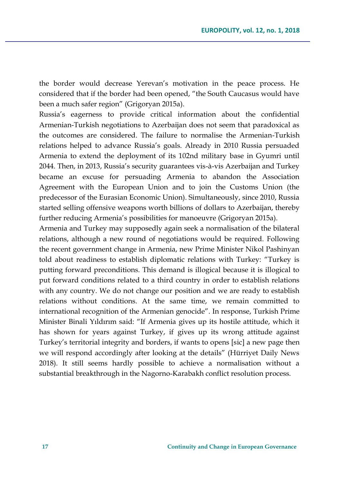the border would decrease Yerevan's motivation in the peace process. He considered that if the border had been opened, "the South Caucasus would have been a much safer region" (Grigoryan 2015a).

Russia's eagerness to provide critical information about the confidential Armenian-Turkish negotiations to Azerbaijan does not seem that paradoxical as the outcomes are considered. The failure to normalise the Armenian-Turkish relations helped to advance Russia's goals. Already in 2010 Russia persuaded Armenia to extend the deployment of its 102nd military base in Gyumri until 2044. Then, in 2013, Russia's security guarantees vis-à-vis Azerbaijan and Turkey became an excuse for persuading Armenia to abandon the Association Agreement with the European Union and to join the Customs Union (the predecessor of the Eurasian Economic Union). Simultaneously, since 2010, Russia started selling offensive weapons worth billions of dollars to Azerbaijan, thereby further reducing Armenia's possibilities for manoeuvre (Grigoryan 2015a).

Armenia and Turkey may supposedly again seek a normalisation of the bilateral relations, although a new round of negotiations would be required. Following the recent government change in Armenia, new Prime Minister Nikol Pashinyan told about readiness to establish diplomatic relations with Turkey: "Turkey is putting forward preconditions. This demand is illogical because it is illogical to put forward conditions related to a third country in order to establish relations with any country. We do not change our position and we are ready to establish relations without conditions. At the same time, we remain committed to international recognition of the Armenian genocide". In response, Turkish Prime Minister Binali Yıldırım said: "If Armenia gives up its hostile attitude, which it has shown for years against Turkey, if gives up its wrong attitude against Turkey's territorial integrity and borders, if wants to opens [sic] a new page then we will respond accordingly after looking at the details" (Hürriyet Daily News 2018). It still seems hardly possible to achieve a normalisation without a substantial breakthrough in the Nagorno-Karabakh conflict resolution process.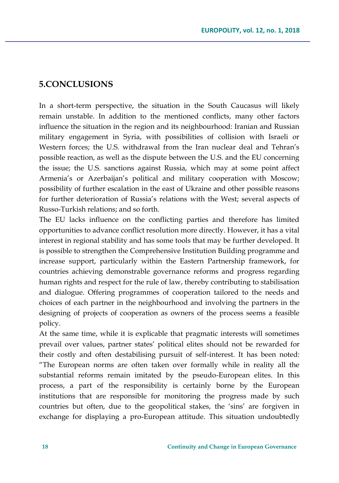## **5.CONCLUSIONS**

In a short-term perspective, the situation in the South Caucasus will likely remain unstable. In addition to the mentioned conflicts, many other factors influence the situation in the region and its neighbourhood: Iranian and Russian military engagement in Syria, with possibilities of collision with Israeli or Western forces; the U.S. withdrawal from the Iran nuclear deal and Tehran's possible reaction, as well as the dispute between the U.S. and the EU concerning the issue; the U.S. sanctions against Russia, which may at some point affect Armenia's or Azerbaijan's political and military cooperation with Moscow; possibility of further escalation in the east of Ukraine and other possible reasons for further deterioration of Russia's relations with the West; several aspects of Russo-Turkish relations; and so forth.

The EU lacks influence on the conflicting parties and therefore has limited opportunities to advance conflict resolution more directly. However, it has a vital interest in regional stability and has some tools that may be further developed. It is possible to strengthen the Comprehensive Institution Building programme and increase support, particularly within the Eastern Partnership framework, for countries achieving demonstrable governance reforms and progress regarding human rights and respect for the rule of law, thereby contributing to stabilisation and dialogue. Offering programmes of cooperation tailored to the needs and choices of each partner in the neighbourhood and involving the partners in the designing of projects of cooperation as owners of the process seems a feasible policy.

At the same time, while it is explicable that pragmatic interests will sometimes prevail over values, partner states' political elites should not be rewarded for their costly and often destabilising pursuit of self-interest. It has been noted: "The European norms are often taken over formally while in reality all the substantial reforms remain imitated by the pseudo-European elites. In this process, a part of the responsibility is certainly borne by the European institutions that are responsible for monitoring the progress made by such countries but often, due to the geopolitical stakes, the 'sins' are forgiven in exchange for displaying a pro-European attitude. This situation undoubtedly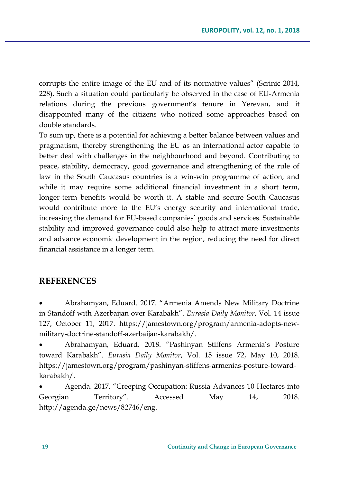corrupts the entire image of the EU and of its normative values" (Scrinic 2014, 228). Such a situation could particularly be observed in the case of EU-Armenia relations during the previous government's tenure in Yerevan, and it disappointed many of the citizens who noticed some approaches based on double standards.

To sum up, there is a potential for achieving a better balance between values and pragmatism, thereby strengthening the EU as an international actor capable to better deal with challenges in the neighbourhood and beyond. Contributing to peace, stability, democracy, good governance and strengthening of the rule of law in the South Caucasus countries is a win-win programme of action, and while it may require some additional financial investment in a short term, longer-term benefits would be worth it. A stable and secure South Caucasus would contribute more to the EU's energy security and international trade, increasing the demand for EU-based companies' goods and services. Sustainable stability and improved governance could also help to attract more investments and advance economic development in the region, reducing the need for direct financial assistance in a longer term.

## **REFERENCES**

 Abrahamyan, Eduard. 2017. "Armenia Amends New Military Doctrine in Standoff with Azerbaijan over Karabakh". *Eurasia Daily Monitor*, Vol. 14 issue 127, October 11, 2017. https://jamestown.org/program/armenia-adopts-newmilitary-doctrine-standoff-azerbaijan-karabakh/.

 Abrahamyan, Eduard. 2018. "Pashinyan Stiffens Armenia's Posture toward Karabakh". *Eurasia Daily Monitor*, Vol. 15 issue 72, May 10, 2018. https://jamestown.org/program/pashinyan-stiffens-armenias-posture-towardkarabakh/.

 Agenda. 2017. "Creeping Occupation: Russia Advances 10 Hectares into Georgian Territory". Accessed May 14, 2018. http://agenda.ge/news/82746/eng.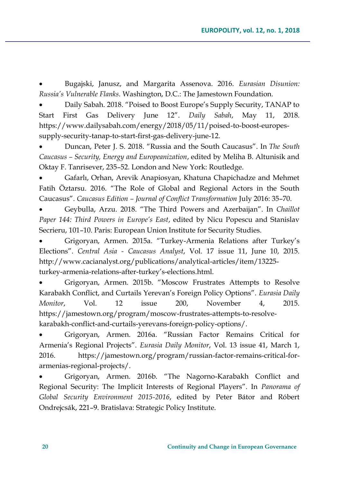Bugajski, Janusz, and Margarita Assenova. 2016. *Eurasian Disunion: Russia's Vulnerable Flanks*. Washington, D.C.: The Jamestown Foundation.

 Daily Sabah. 2018. "Poised to Boost Europe's Supply Security, TANAP to Start First Gas Delivery June 12". *Daily Sabah*, May 11, 2018. https://www.dailysabah.com/energy/2018/05/11/poised-to-boost-europessupply-security-tanap-to-start-first-gas-delivery-june-12.

 Duncan, Peter J. S. 2018. "Russia and the South Caucasus". In *The South Caucasus – Security, Energy and Europeanization*, edited by Meliha B. Altunisik and Oktay F. Tanrisever, 235–52. London and New York: Routledge.

 Gafarlı, Orhan, Arevik Anapiosyan, Khatuna Chapichadze and Mehmet Fatih Öztarsu. 2016. "The Role of Global and Regional Actors in the South Caucasus". *Caucasus Edition – Journal of Conflict Transformation* July 2016: 35–70.

 Geybulla, Arzu. 2018. "The Third Powers and Azerbaijan". In *Chaillot Paper 144: Third Powers in Europe's East*, edited by Nicu Popescu and Stanislav Secrieru, 101–10. Paris: European Union Institute for Security Studies.

 Grigoryan, Armen. 2015a. "Turkey-Armenia Relations after Turkey's Elections". *Central Asia - Caucasus Analyst*, Vol. 17 issue 11, June 10, 2015. http://www.cacianalyst.org/publications/analytical-articles/item/13225 turkey-armenia-relations-after-turkey's-elections.html.

 Grigoryan, Armen. 2015b. "Moscow Frustrates Attempts to Resolve Karabakh Conflict, and Curtails Yerevan's Foreign Policy Options". *Eurasia Daily Monitor*, Vol. 12 issue 200, November 4, 2015. https://jamestown.org/program/moscow-frustrates-attempts-to-resolvekarabakh-conflict-and-curtails-yerevans-foreign-policy-options/.

 Grigoryan, Armen. 2016a. "Russian Factor Remains Critical for Armenia's Regional Projects". *Eurasia Daily Monitor*, Vol. 13 issue 41, March 1, 2016. https://jamestown.org/program/russian-factor-remains-critical-forarmenias-regional-projects/.

 Grigoryan, Armen. 2016b. "The Nagorno-Karabakh Conflict and Regional Security: The Implicit Interests of Regional Players". In *Panorama of Global Security Environment 2015-2016*, edited by Peter Bátor and Róbert Ondrejcsák, 221–9. Bratislava: Strategic Policy Institute.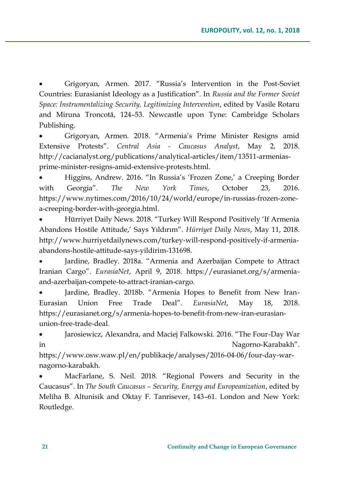Grigoryan, Armen. 2017. "Russia's Intervention in the Post-Soviet Countries: Eurasianist Ideology as a Justification". In *Russia and the Former Soviet Space: Instrumentalizing Security, Legitimizing Intervention*, edited by Vasile Rotaru and Miruna Troncotă, 124–53. Newcastle upon Tyne: Cambridge Scholars Publishing.

 Grigoryan, Armen. 2018. "Armenia's Prime Minister Resigns amid Extensive Protests". *Central Asia - Caucasus Analyst*, May 2, 2018. http://cacianalyst.org/publications/analytical-articles/item/13511-armeniasprime-minister-resigns-amid-extensive-protests.html.

 Higgins, Andrew. 2016. "In Russia's 'Frozen Zone,' a Creeping Border with Georgia". *The New York Times*, October 23, 2016. https://www.nytimes.com/2016/10/24/world/europe/in-russias-frozen-zonea-creeping-border-with-georgia.html.

 Hürriyet Daily News. 2018. "Turkey Will Respond Positively 'If Armenia Abandons Hostile Attitude,' Says Yıldırım". *Hürriyet Daily News*, May 11, 2018. http://www.hurriyetdailynews.com/turkey-will-respond-positively-if-armeniaabandons-hostile-attitude-says-yildirim-131698.

 Jardine, Bradley. 2018a. "Armenia and Azerbaijan Compete to Attract Iranian Cargo". *EurasiaNet*, April 9, 2018. https://eurasianet.org/s/armeniaand-azerbaijan-compete-to-attract-iranian-cargo.

 Jardine, Bradley. 2018b. "Armenia Hopes to Benefit from New Iran-Eurasian Union Free Trade Deal". *EurasiaNet*, May 18, 2018. https://eurasianet.org/s/armenia-hopes-to-benefit-from-new-iran-eurasianunion-free-trade-deal.

 Jarosiewicz, Alexandra, and Maciej Falkowski. 2016. "The Four-Day War in Nagorno-Karabakh".

https://www.osw.waw.pl/en/publikacje/analyses/2016-04-06/four-day-warnagorno-karabakh.

 MacFarlane, S. Neil. 2018. "Regional Powers and Security in the Caucasus". In *The South Caucasus – Security, Energy and Europeanization*, edited by Meliha B. Altunisik and Oktay F. Tanrisever, 143–61. London and New York: Routledge.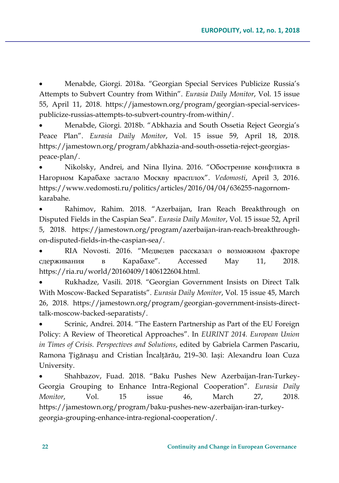Menabde, Giorgi. 2018a. "Georgian Special Services Publicize Russia's Attempts to Subvert Country from Within". *Eurasia Daily Monitor*, Vol. 15 issue 55, April 11, 2018. https://jamestown.org/program/georgian-special-servicespublicize-russias-attempts-to-subvert-country-from-within/.

 Menabde, Giorgi. 2018b. "Abkhazia and South Ossetia Reject Georgia's Peace Plan". *Eurasia Daily Monitor*, Vol. 15 issue 59, April 18, 2018. https://jamestown.org/program/abkhazia-and-south-ossetia-reject-georgiaspeace-plan/.

 Nikolsky, Andrei, and Nina Ilyina. 2016. "Обострение конфликта в Нагорном Карабахе застало Москву врасплох". *Vedomosti*, April 3, 2016. https://www.vedomosti.ru/politics/articles/2016/04/04/636255-nagornomkarabahe.

 Rahimov, Rahim. 2018. "Azerbaijan, Iran Reach Breakthrough on Disputed Fields in the Caspian Sea". *Eurasia Daily Monitor*, Vol. 15 issue 52, April 5, 2018. https://jamestown.org/program/azerbaijan-iran-reach-breakthroughon-disputed-fields-in-the-caspian-sea/.

 [RIA Novosti.](http://ria.ru/world/20160409/1406122604.html) 2016. "Медведев рассказал о возможном факторе сдерживания в Карабахе". Accessed May 11, 2018. https://ria.ru/world/20160409/1406122604.html.

 Rukhadze, Vasili. 2018. "Georgian Government Insists on Direct Talk With Moscow-Backed Separatists". *Eurasia Daily Monitor*, Vol. 15 issue 45, March 26, 2018. https://jamestown.org/program/georgian-government-insists-directtalk-moscow-backed-separatists/.

 Scrinic, Andrei. 2014. "The Eastern Partnership as Part of the EU Foreign Policy: A Review of Theoretical Approaches". In *EURINT 2014. European Union in Times of Crisis. Perspectives and Solutions*, edited by Gabriela Carmen Pascariu, Ramona Țigănașu and Cristian Încalțărău, 219–30. Iași: Alexandru Ioan Cuza University.

 Shahbazov, Fuad. 2018. "Baku Pushes New Azerbaijan-Iran-Turkey-Georgia Grouping to Enhance Intra-Regional Cooperation". *Eurasia Daily Monitor*, Vol. 15 issue 46, March 27, 2018. https://jamestown.org/program/baku-pushes-new-azerbaijan-iran-turkeygeorgia-grouping-enhance-intra-regional-cooperation/.